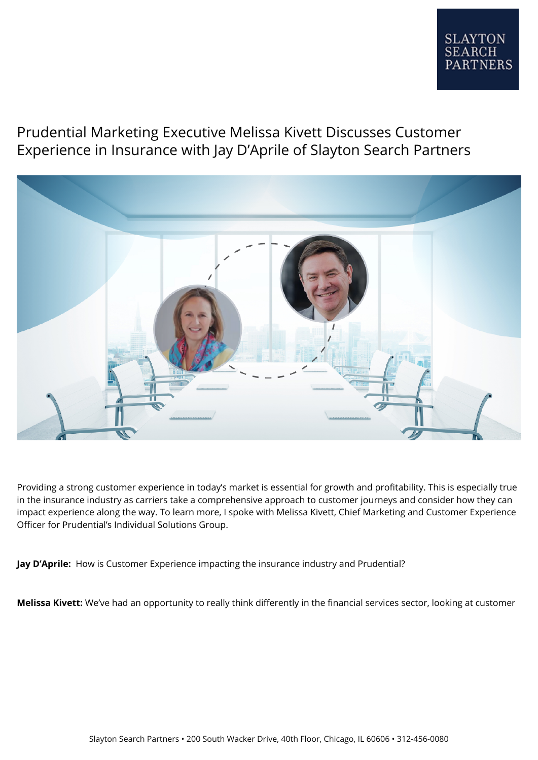## Prudential Marketing Executive Melissa Kivett Discusses Customer Experience in Insurance with Jay D'Aprile of Slayton Search Partners



Providing a strong customer experience in today's market is essential for growth and profitability. This is especially true in the insurance industry as carriers take a comprehensive approach to customer journeys and consider how they can impact experience along the way. To learn more, I spoke with Melissa Kivett, Chief Marketing and Customer Experience Officer for Prudential's Individual Solutions Group.

**Jay D'Aprile:** How is Customer Experience impacting the insurance industry and Prudential?

**Melissa Kivett:** We've had an opportunity to really think differently in the financial services sector, looking at customer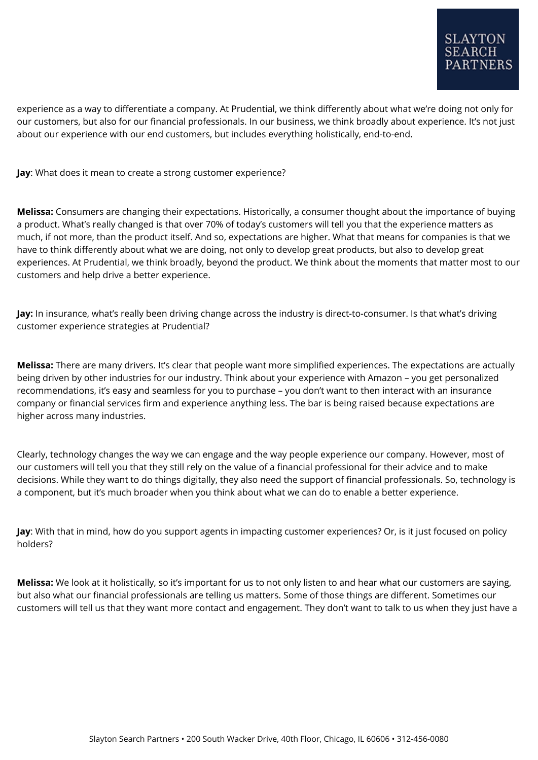experience as a way to differentiate a company. At Prudential, we think differently about what we're doing not only for our customers, but also for our financial professionals. In our business, we think broadly about experience. It's not just about our experience with our end customers, but includes everything holistically, end-to-end.

**Jay**: What does it mean to create a strong customer experience?

**Melissa:** Consumers are changing their expectations. Historically, a consumer thought about the importance of buying a product. What's really changed is that over 70% of today's customers will tell you that the experience matters as much, if not more, than the product itself. And so, expectations are higher. What that means for companies is that we have to think differently about what we are doing, not only to develop great products, but also to develop great experiences. At Prudential, we think broadly, beyond the product. We think about the moments that matter most to our customers and help drive a better experience.

**Jay:** In insurance, what's really been driving change across the industry is direct-to-consumer. Is that what's driving customer experience strategies at Prudential?

**Melissa:** There are many drivers. It's clear that people want more simplified experiences. The expectations are actually being driven by other industries for our industry. Think about your experience with Amazon – you get personalized recommendations, it's easy and seamless for you to purchase – you don't want to then interact with an insurance company or financial services firm and experience anything less. The bar is being raised because expectations are higher across many industries.

Clearly, technology changes the way we can engage and the way people experience our company. However, most of our customers will tell you that they still rely on the value of a financial professional for their advice and to make decisions. While they want to do things digitally, they also need the support of financial professionals. So, technology is a component, but it's much broader when you think about what we can do to enable a better experience.

**Jay**: With that in mind, how do you support agents in impacting customer experiences? Or, is it just focused on policy holders?

**Melissa:** We look at it holistically, so it's important for us to not only listen to and hear what our customers are saying, but also what our financial professionals are telling us matters. Some of those things are different. Sometimes our customers will tell us that they want more contact and engagement. They don't want to talk to us when they just have a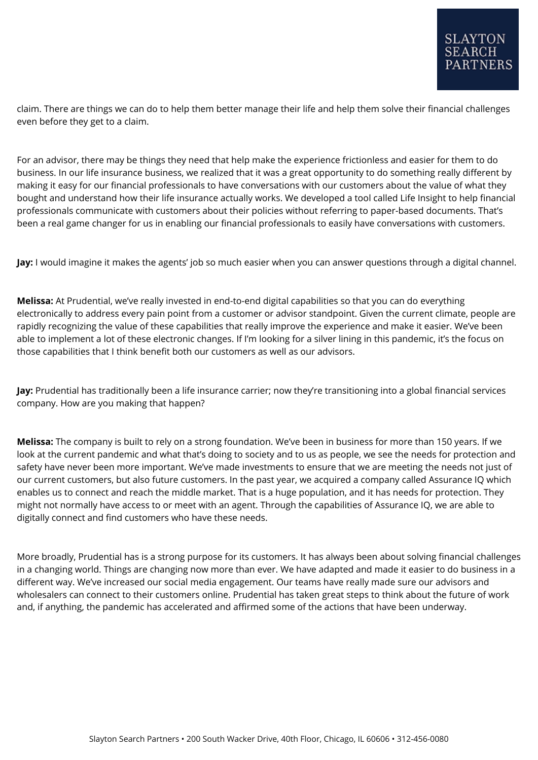claim. There are things we can do to help them better manage their life and help them solve their financial challenges even before they get to a claim.

For an advisor, there may be things they need that help make the experience frictionless and easier for them to do business. In our life insurance business, we realized that it was a great opportunity to do something really different by making it easy for our financial professionals to have conversations with our customers about the value of what they bought and understand how their life insurance actually works. We developed a tool called Life Insight to help financial professionals communicate with customers about their policies without referring to paper-based documents. That's been a real game changer for us in enabling our financial professionals to easily have conversations with customers.

**Jay:** I would imagine it makes the agents' job so much easier when you can answer questions through a digital channel.

**Melissa:** At Prudential, we've really invested in end-to-end digital capabilities so that you can do everything electronically to address every pain point from a customer or advisor standpoint. Given the current climate, people are rapidly recognizing the value of these capabilities that really improve the experience and make it easier. We've been able to implement a lot of these electronic changes. If I'm looking for a silver lining in this pandemic, it's the focus on those capabilities that I think benefit both our customers as well as our advisors.

**Jay:** Prudential has traditionally been a life insurance carrier; now they're transitioning into a global financial services company. How are you making that happen?

**Melissa:** The company is built to rely on a strong foundation. We've been in business for more than 150 years. If we look at the current pandemic and what that's doing to society and to us as people, we see the needs for protection and safety have never been more important. We've made investments to ensure that we are meeting the needs not just of our current customers, but also future customers. In the past year, we acquired a company called Assurance IQ which enables us to connect and reach the middle market. That is a huge population, and it has needs for protection. They might not normally have access to or meet with an agent. Through the capabilities of Assurance IQ, we are able to digitally connect and find customers who have these needs.

More broadly, Prudential has is a strong purpose for its customers. It has always been about solving financial challenges in a changing world. Things are changing now more than ever. We have adapted and made it easier to do business in a different way. We've increased our social media engagement. Our teams have really made sure our advisors and wholesalers can connect to their customers online. Prudential has taken great steps to think about the future of work and, if anything, the pandemic has accelerated and affirmed some of the actions that have been underway.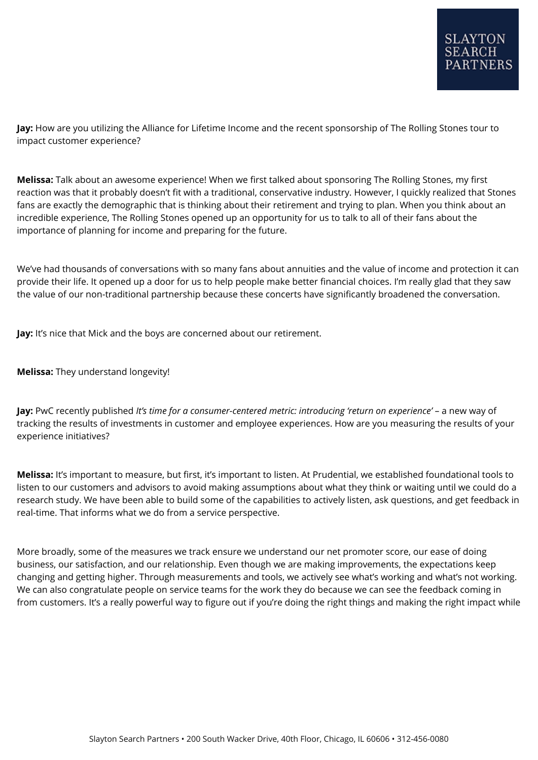**Jay:** How are you utilizing the Alliance for Lifetime Income and the recent sponsorship of The Rolling Stones tour to impact customer experience?

**Melissa:** Talk about an awesome experience! When we first talked about sponsoring The Rolling Stones, my first reaction was that it probably doesn't fit with a traditional, conservative industry. However, I quickly realized that Stones fans are exactly the demographic that is thinking about their retirement and trying to plan. When you think about an incredible experience, The Rolling Stones opened up an opportunity for us to talk to all of their fans about the importance of planning for income and preparing for the future.

We've had thousands of conversations with so many fans about annuities and the value of income and protection it can provide their life. It opened up a door for us to help people make better financial choices. I'm really glad that they saw the value of our non-traditional partnership because these concerts have significantly broadened the conversation.

**Jay:** It's nice that Mick and the boys are concerned about our retirement.

**Melissa:** They understand longevity!

**Jay:** PwC recently published *It's time for a consumer-centered metric: introducing 'return on experience'* – a new way of tracking the results of investments in customer and employee experiences. How are you measuring the results of your experience initiatives?

**Melissa:** It's important to measure, but first, it's important to listen. At Prudential, we established foundational tools to listen to our customers and advisors to avoid making assumptions about what they think or waiting until we could do a research study. We have been able to build some of the capabilities to actively listen, ask questions, and get feedback in real-time. That informs what we do from a service perspective.

More broadly, some of the measures we track ensure we understand our net promoter score, our ease of doing business, our satisfaction, and our relationship. Even though we are making improvements, the expectations keep changing and getting higher. Through measurements and tools, we actively see what's working and what's not working. We can also congratulate people on service teams for the work they do because we can see the feedback coming in from customers. It's a really powerful way to figure out if you're doing the right things and making the right impact while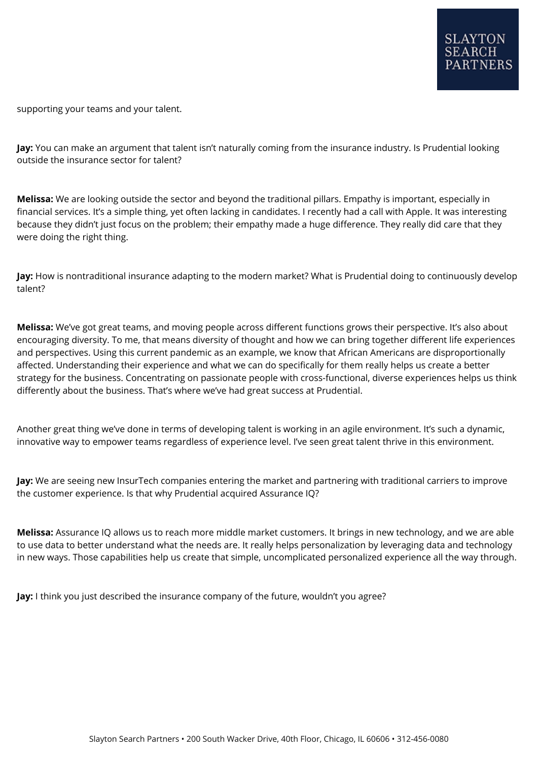supporting your teams and your talent.

**Jay:** You can make an argument that talent isn't naturally coming from the insurance industry. Is Prudential looking outside the insurance sector for talent?

**Melissa:** We are looking outside the sector and beyond the traditional pillars. Empathy is important, especially in financial services. It's a simple thing, yet often lacking in candidates. I recently had a call with Apple. It was interesting because they didn't just focus on the problem; their empathy made a huge difference. They really did care that they were doing the right thing.

**Jay:** How is nontraditional insurance adapting to the modern market? What is Prudential doing to continuously develop talent?

**Melissa:** We've got great teams, and moving people across different functions grows their perspective. It's also about encouraging diversity. To me, that means diversity of thought and how we can bring together different life experiences and perspectives. Using this current pandemic as an example, we know that African Americans are disproportionally affected. Understanding their experience and what we can do specifically for them really helps us create a better strategy for the business. Concentrating on passionate people with cross-functional, diverse experiences helps us think differently about the business. That's where we've had great success at Prudential.

Another great thing we've done in terms of developing talent is working in an agile environment. It's such a dynamic, innovative way to empower teams regardless of experience level. I've seen great talent thrive in this environment.

**Jay:** We are seeing new InsurTech companies entering the market and partnering with traditional carriers to improve the customer experience. Is that why Prudential acquired Assurance IQ?

**Melissa:** Assurance IQ allows us to reach more middle market customers. It brings in new technology, and we are able to use data to better understand what the needs are. It really helps personalization by leveraging data and technology in new ways. Those capabilities help us create that simple, uncomplicated personalized experience all the way through.

**Jay:** I think you just described the insurance company of the future, wouldn't you agree?